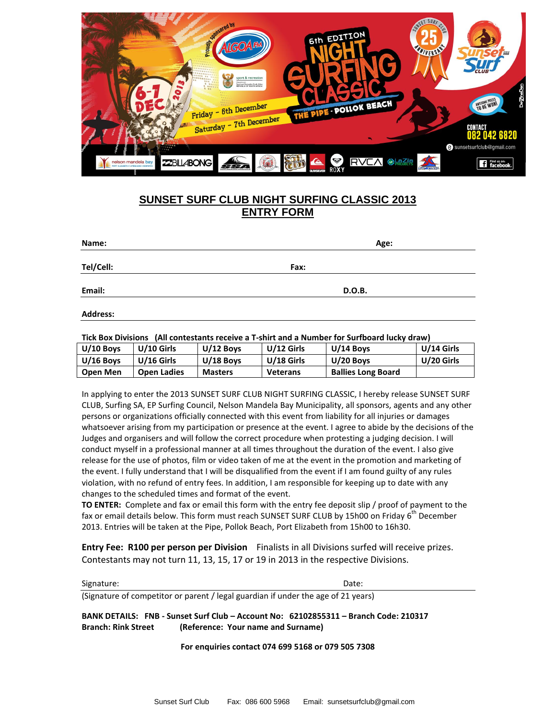

## **SUNSET SURF CLUB NIGHT SURFING CLASSIC 2013 ENTRY FORM**

| Name:           | Age:   |  |  |
|-----------------|--------|--|--|
| Tel/Cell:       | Fax:   |  |  |
| Email:          | D.O.B. |  |  |
| <b>Address:</b> |        |  |  |

## **Tick Box Divisions (All contestants receive a T-shirt and a Number for Surfboard lucky draw)**

| $U/10$ Boys     | $U/10$ Girls       | $U/12$ Boys    | U/12 Girls      | $U/14$ Boys               | U/14 Girls |
|-----------------|--------------------|----------------|-----------------|---------------------------|------------|
| $U/16$ Boys     | $U/16$ Girls       | $U/18$ Boys    | U/18 Girls      | U/20 Boys                 | U/20 Girls |
| <b>Open Men</b> | <b>Open Ladies</b> | <b>Masters</b> | <b>Veterans</b> | <b>Ballies Long Board</b> |            |

In applying to enter the 2013 SUNSET SURF CLUB NIGHT SURFING CLASSIC, I hereby release SUNSET SURF CLUB, Surfing SA, EP Surfing Council, Nelson Mandela Bay Municipality, all sponsors, agents and any other persons or organizations officially connected with this event from liability for all injuries or damages whatsoever arising from my participation or presence at the event. I agree to abide by the decisions of the Judges and organisers and will follow the correct procedure when protesting a judging decision. I will conduct myself in a professional manner at all times throughout the duration of the event. I also give release for the use of photos, film or video taken of me at the event in the promotion and marketing of the event. I fully understand that I will be disqualified from the event if I am found guilty of any rules violation, with no refund of entry fees. In addition, I am responsible for keeping up to date with any changes to the scheduled times and format of the event.

**TO ENTER:** Complete and fax or email this form with the entry fee deposit slip / proof of payment to the fax or email details below. This form must reach SUNSET SURF CLUB by 15h00 on Friday 6<sup>th</sup> December 2013. Entries will be taken at the Pipe, Pollok Beach, Port Elizabeth from 15h00 to 16h30.

**Entry Fee: R100 per person per Division** Finalists in all Divisions surfed will receive prizes. Contestants may not turn 11, 13, 15, 17 or 19 in 2013 in the respective Divisions.

Signature: Date: Date: Date: Date: Date: Date: Date: Date: Date: Date: Date: Date: Date: Date: Date: Date: Date: Date: Date: Date: Date: Date: Date: Date: Date: Date: Date: Date: Date: Date: Date: Date: Date: Date: Date: D

(Signature of competitor or parent / legal guardian if under the age of 21 years)

**BANK DETAILS: FNB - Sunset Surf Club – Account No: 62102855311 – Branch Code: 210317 Branch: Rink Street (Reference: Your name and Surname)**

**For enquiries contact 074 699 5168 or 079 505 7308**